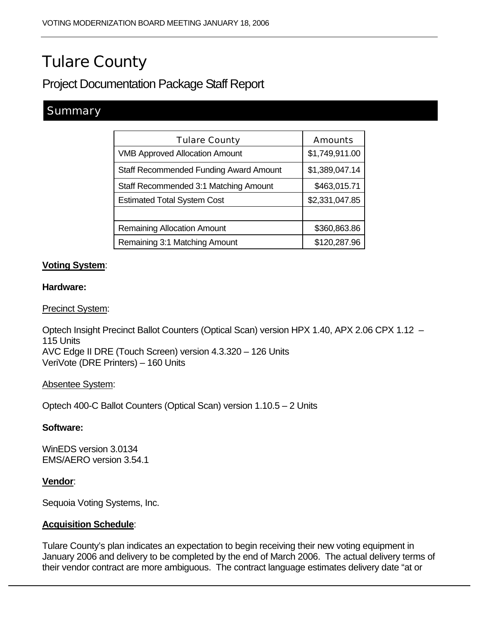# Tulare County

# Project Documentation Package Staff Report

# **Summary**

| <b>Tulare County</b>                          | <b>Amounts</b> |  |
|-----------------------------------------------|----------------|--|
| <b>VMB Approved Allocation Amount</b>         | \$1,749,911.00 |  |
| <b>Staff Recommended Funding Award Amount</b> | \$1,389,047.14 |  |
| Staff Recommended 3:1 Matching Amount         | \$463,015.71   |  |
| <b>Estimated Total System Cost</b>            | \$2,331,047.85 |  |
|                                               |                |  |
| <b>Remaining Allocation Amount</b>            | \$360,863.86   |  |
| Remaining 3:1 Matching Amount                 | \$120,287.96   |  |

#### **Voting System**:

#### **Hardware:**

Precinct System:

Optech Insight Precinct Ballot Counters (Optical Scan) version HPX 1.40, APX 2.06 CPX 1.12 – 115 Units AVC Edge II DRE (Touch Screen) version 4.3.320 – 126 Units VeriVote (DRE Printers) – 160 Units

#### Absentee System:

Optech 400-C Ballot Counters (Optical Scan) version 1.10.5 – 2 Units

#### **Software:**

WinEDS version 3.0134 EMS/AERO version 3.54.1

#### **Vendor**:

Sequoia Voting Systems, Inc.

#### **Acquisition Schedule**:

Tulare County's plan indicates an expectation to begin receiving their new voting equipment in January 2006 and delivery to be completed by the end of March 2006. The actual delivery terms of their vendor contract are more ambiguous. The contract language estimates delivery date "at or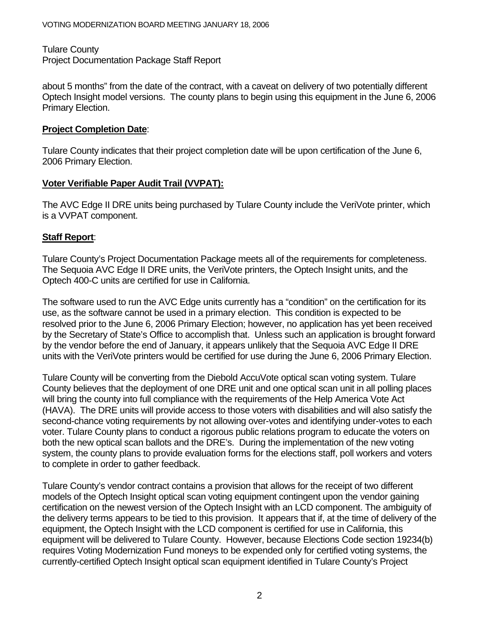Tulare County Project Documentation Package Staff Report

about 5 months" from the date of the contract, with a caveat on delivery of two potentially different Optech Insight model versions. The county plans to begin using this equipment in the June 6, 2006 Primary Election.

#### **Project Completion Date**:

Tulare County indicates that their project completion date will be upon certification of the June 6, 2006 Primary Election.

#### **Voter Verifiable Paper Audit Trail (VVPAT):**

The AVC Edge II DRE units being purchased by Tulare County include the VeriVote printer, which is a VVPAT component.

### **Staff Report**:

Tulare County's Project Documentation Package meets all of the requirements for completeness. The Sequoia AVC Edge II DRE units, the VeriVote printers, the Optech Insight units, and the Optech 400-C units are certified for use in California.

The software used to run the AVC Edge units currently has a "condition" on the certification for its use, as the software cannot be used in a primary election. This condition is expected to be resolved prior to the June 6, 2006 Primary Election; however, no application has yet been received by the Secretary of State's Office to accomplish that. Unless such an application is brought forward by the vendor before the end of January, it appears unlikely that the Sequoia AVC Edge II DRE units with the VeriVote printers would be certified for use during the June 6, 2006 Primary Election.

Tulare County will be converting from the Diebold AccuVote optical scan voting system. Tulare County believes that the deployment of one DRE unit and one optical scan unit in all polling places will bring the county into full compliance with the requirements of the Help America Vote Act (HAVA). The DRE units will provide access to those voters with disabilities and will also satisfy the second-chance voting requirements by not allowing over-votes and identifying under-votes to each voter. Tulare County plans to conduct a rigorous public relations program to educate the voters on both the new optical scan ballots and the DRE's. During the implementation of the new voting system, the county plans to provide evaluation forms for the elections staff, poll workers and voters to complete in order to gather feedback.

Tulare County's vendor contract contains a provision that allows for the receipt of two different models of the Optech Insight optical scan voting equipment contingent upon the vendor gaining certification on the newest version of the Optech Insight with an LCD component. The ambiguity of the delivery terms appears to be tied to this provision. It appears that if, at the time of delivery of the equipment, the Optech Insight with the LCD component is certified for use in California, this equipment will be delivered to Tulare County. However, because Elections Code section 19234(b) requires Voting Modernization Fund moneys to be expended only for certified voting systems, the currently-certified Optech Insight optical scan equipment identified in Tulare County's Project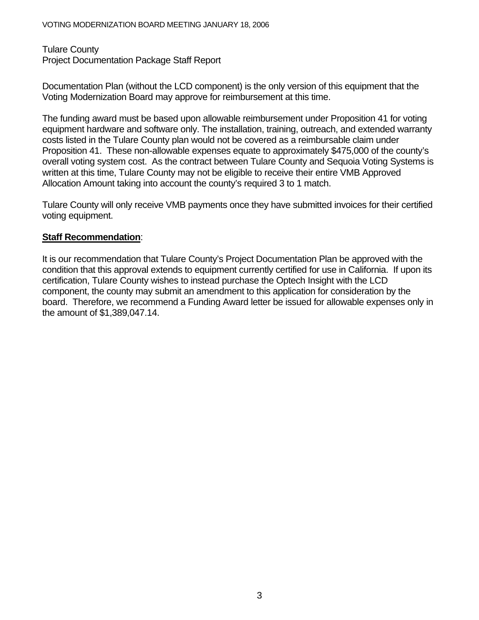#### Tulare County

Project Documentation Package Staff Report

Documentation Plan (without the LCD component) is the only version of this equipment that the Voting Modernization Board may approve for reimbursement at this time.

The funding award must be based upon allowable reimbursement under Proposition 41 for voting equipment hardware and software only. The installation, training, outreach, and extended warranty costs listed in the Tulare County plan would not be covered as a reimbursable claim under Proposition 41. These non-allowable expenses equate to approximately \$475,000 of the county's overall voting system cost. As the contract between Tulare County and Sequoia Voting Systems is written at this time, Tulare County may not be eligible to receive their entire VMB Approved Allocation Amount taking into account the county's required 3 to 1 match.

Tulare County will only receive VMB payments once they have submitted invoices for their certified voting equipment.

#### **Staff Recommendation**:

It is our recommendation that Tulare County's Project Documentation Plan be approved with the condition that this approval extends to equipment currently certified for use in California. If upon its certification, Tulare County wishes to instead purchase the Optech Insight with the LCD component, the county may submit an amendment to this application for consideration by the board. Therefore, we recommend a Funding Award letter be issued for allowable expenses only in the amount of \$1,389,047.14.